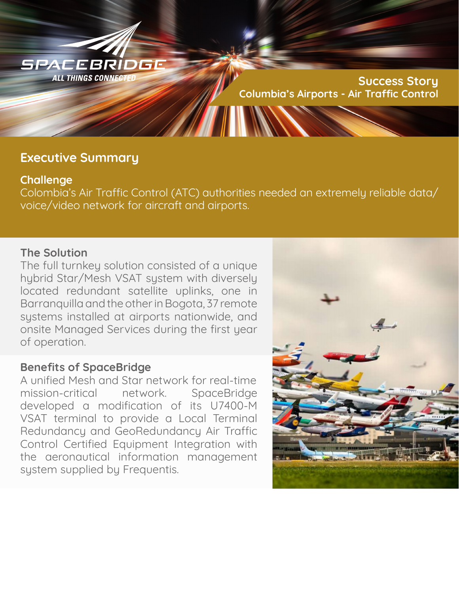

## **Executive Summary**

## **Challenge**

Colombia's Air Traffic Control (ATC) authorities needed an extremely reliable data/ voice/video network for aircraft and airports.

## **The Solution**

The full turnkey solution consisted of a unique hybrid Star/Mesh VSAT system with diversely located redundant satellite uplinks, one in Barranquilla and the other in Bogota, 37 remote systems installed at airports nationwide, and onsite Managed Services during the first year of operation.

## **Benefits of SpaceBridge**

A unified Mesh and Star network for real-time mission-critical network. SpaceBridge developed a modification of its U7400-M VSAT terminal to provide a Local Terminal Redundancy and GeoRedundancy Air Traffic Control Certified Equipment Integration with the aeronautical information management system supplied by Frequentis.